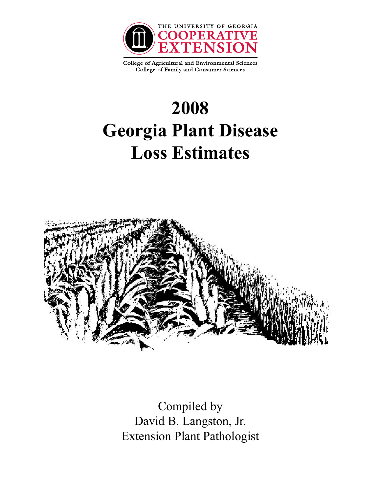

College of Agricultural and Environmental Sciences College of Family and Consumer Sciences

# **2008 Georgia Plant Disease Loss Estimates**



Compiled by David B. Langston, Jr. Extension Plant Pathologist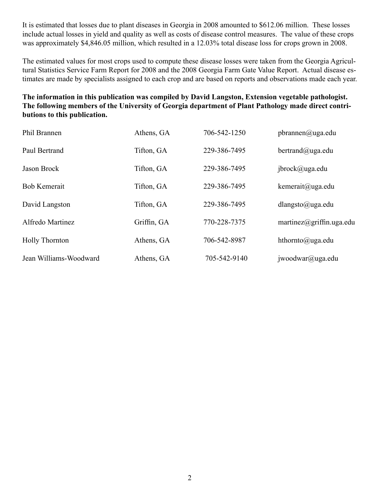It is estimated that losses due to plant diseases in Georgia in 2008 amounted to \$612.06 million. These losses include actual losses in yield and quality as well as costs of disease control measures. The value of these crops was approximately \$4,846.05 million, which resulted in a 12.03% total disease loss for crops grown in 2008.

The estimated values for most crops used to compute these disease losses were taken from the Georgia Agricultural Statistics Service Farm Report for 2008 and the 2008 Georgia Farm Gate Value Report. Actual disease estimates are made by specialists assigned to each crop and are based on reports and observations made each year.

#### **The information in this publication was compiled by David Langston, Extension vegetable pathologist. The following members of the University of Georgia department of Plant Pathology made direct contributions to this publication.**

| Phil Brannen           | Athens, GA  | 706-542-1250 | phrannen@uga.edu          |
|------------------------|-------------|--------------|---------------------------|
| Paul Bertrand          | Tifton, GA  | 229-386-7495 | $b$ ertrand $(a)$ uga.edu |
| <b>Jason Brock</b>     | Tifton, GA  | 229-386-7495 | jbrock@uga.edu            |
| <b>Bob Kemerait</b>    | Tifton, GA  | 229-386-7495 | kemerait@uga.edu          |
| David Langston         | Tifton, GA  | 229-386-7495 | dlangsto@uga.edu          |
| Alfredo Martinez       | Griffin, GA | 770-228-7375 | martinez@griffin.uga.edu  |
| <b>Holly Thornton</b>  | Athens, GA  | 706-542-8987 | hthornto@uga.edu          |
| Jean Williams-Woodward | Athens, GA  | 705-542-9140 | jwoodwar@uga.edu          |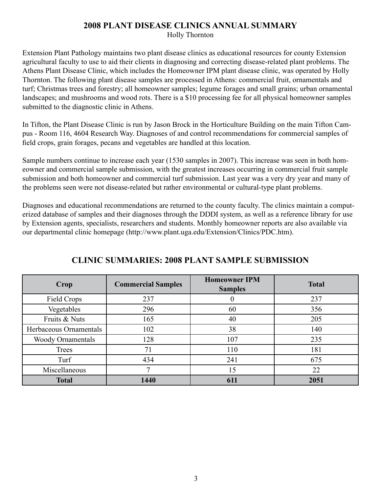## **2008 PLANT DISEASE CLINICS ANNUAL SUMMARY**

Holly Thornton

Extension Plant Pathology maintains two plant disease clinics as educational resources for county Extension agricultural faculty to use to aid their clients in diagnosing and correcting disease-related plant problems. The Athens Plant Disease Clinic, which includes the Homeowner IPM plant disease clinic, was operated by Holly Thornton. The following plant disease samples are processed in Athens: commercial fruit, ornamentals and turf; Christmas trees and forestry; all homeowner samples; legume forages and small grains; urban ornamental landscapes; and mushrooms and wood rots. There is a \$10 processing fee for all physical homeowner samples submitted to the diagnostic clinic in Athens.

In Tifton, the Plant Disease Clinic is run by Jason Brock in the Horticulture Building on the main Tifton Campus - Room 116, 4604 Research Way. Diagnoses of and control recommendations for commercial samples of field crops, grain forages, pecans and vegetables are handled at this location.

Sample numbers continue to increase each year (1530 samples in 2007). This increase was seen in both homeowner and commercial sample submission, with the greatest increases occurring in commercial fruit sample submission and both homeowner and commercial turf submission. Last year was a very dry year and many of the problems seen were not disease-related but rather environmental or cultural-type plant problems.

Diagnoses and educational recommendations are returned to the county faculty. The clinics maintain a computerized database of samples and their diagnoses through the DDDI system, as well as a reference library for use by Extension agents, specialists, researchers and students. Monthly homeowner reports are also available via our departmental clinic homepage (http://www.plant.uga.edu/Extension/Clinics/PDC.htm).

| Crop                     | <b>Commercial Samples</b> | <b>Homeowner IPM</b><br><b>Samples</b> | <b>Total</b> |
|--------------------------|---------------------------|----------------------------------------|--------------|
| Field Crops              | 237                       | $\bf{0}$                               | 237          |
| Vegetables               | 296                       | 60                                     | 356          |
| Fruits & Nuts            | 165                       | 40                                     | 205          |
| Herbaceous Ornamentals   | 102                       | 38                                     | 140          |
| <b>Woody Ornamentals</b> | 128                       | 107                                    | 235          |
| Trees                    | 71                        | 110                                    | 181          |
| Turf                     | 434                       | 241                                    | 675          |
| Miscellaneous            | 7                         | 15                                     | 22           |
| <b>Total</b>             | 1440                      | 611                                    | 2051         |

## **CLINIC SUMMARIES: 2008 PLANT SAMPLE SUBMISSION**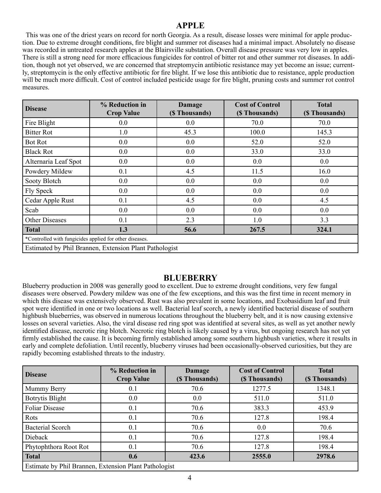### **APPLE**

 This was one of the driest years on record for north Georgia. As a result, disease losses were minimal for apple production. Due to extreme drought conditions, fire blight and summer rot diseases had a minimal impact. Absolutely no disease was recorded in untreated research apples at the Blairsville substation. Overall disease pressure was very low in apples. There is still a strong need for more efficacious fungicides for control of bitter rot and other summer rot diseases. In addition, though not yet observed, we are concerned that streptomycin antibiotic resistance may yet become an issue; currently, streptomycin is the only effective antibiotic for fire blight. If we lose this antibiotic due to resistance, apple production will be much more difficult. Cost of control included pesticide usage for fire blight, pruning costs and summer rot control measures.

| <b>Disease</b>                                          | % Reduction in<br><b>Crop Value</b> | <b>Damage</b><br>(\$ Thousands) | <b>Cost of Control</b><br>(\$ Thousands) | <b>Total</b><br>(\$ Thousands) |  |  |
|---------------------------------------------------------|-------------------------------------|---------------------------------|------------------------------------------|--------------------------------|--|--|
| Fire Blight                                             | 0.0                                 | 0.0                             | 70.0                                     | 70.0                           |  |  |
| <b>Bitter Rot</b>                                       | 1.0                                 | 45.3                            | 100.0                                    | 145.3                          |  |  |
| <b>Bot Rot</b>                                          | 0.0                                 | $0.0\,$                         | 52.0                                     | 52.0                           |  |  |
| <b>Black Rot</b>                                        | 0.0                                 | 0.0                             | 33.0                                     | 33.0                           |  |  |
| Alternaria Leaf Spot                                    | 0.0                                 | 0.0                             | 0.0                                      | 0.0                            |  |  |
| Powdery Mildew                                          | 0.1                                 | 4.5                             | 11.5                                     | 16.0                           |  |  |
| Sooty Blotch                                            | 0.0                                 | 0.0                             | 0.0                                      | $0.0\,$                        |  |  |
| Fly Speck                                               | 0.0                                 | 0.0                             | 0.0                                      | 0.0                            |  |  |
| Cedar Apple Rust                                        | 0.1                                 | 4.5                             | 0.0                                      | 4.5                            |  |  |
| Scab                                                    | 0.0                                 | 0.0                             | 0.0                                      | 0.0                            |  |  |
| <b>Other Diseases</b>                                   | 0.1                                 | 2.3                             | 1.0                                      | 3.3                            |  |  |
| <b>Total</b>                                            | 1.3                                 | 56.6                            | 267.5                                    | 324.1                          |  |  |
| *Controlled with fungicides applied for other diseases. |                                     |                                 |                                          |                                |  |  |
| Estimated by Phil Brannen, Extension Plant Pathologist  |                                     |                                 |                                          |                                |  |  |

#### **BLUEBERRY**

Blueberry production in 2008 was generally good to excellent. Due to extreme drought conditions, very few fungal diseases were observed. Powdery mildew was one of the few exceptions, and this was the first time in recent memory in which this disease was extensively observed. Rust was also prevalent in some locations, and Exobasidium leaf and fruit spot were identified in one or two locations as well. Bacterial leaf scorch, a newly identified bacterial disease of southern highbush blueberries, was observed in numerous locations throughout the blueberry belt, and it is now causing extensive losses on several varieties. Also, the viral disease red ring spot was identified at several sites, as well as yet another newly identified disease, necrotic ring blotch. Necrotic ring blotch is likely caused by a virus, but ongoing research has not yet firmly established the cause. It is becoming firmly established among some southern highbush varieties, where it results in early and complete defoliation. Until recently, blueberry viruses had been occasionally-observed curiosities, but they are rapidly becoming established threats to the industry.

| <b>Disease</b>                                        | % Reduction in<br><b>Crop Value</b> | Damage<br>(\$Thousands) | <b>Cost of Control</b><br>(\$ Thousands) | <b>Total</b><br>(\$Thousands) |
|-------------------------------------------------------|-------------------------------------|-------------------------|------------------------------------------|-------------------------------|
| Mummy Berry                                           | 0.1                                 | 70.6                    | 1277.5                                   | 1348.1                        |
| <b>Botrytis Blight</b>                                | 0.0                                 | 0.0                     | 511.0                                    | 511.0                         |
| <b>Foliar Disease</b>                                 | 0.1                                 | 70.6                    | 383.3                                    | 453.9                         |
| Rots                                                  | 0.1                                 | 70.6                    | 127.8                                    | 198.4                         |
| <b>Bacterial Scorch</b>                               | 0.1                                 | 70.6                    | 0.0                                      | 70.6                          |
| Dieback                                               | 0.1                                 | 70.6                    | 127.8                                    | 198.4                         |
| Phytophthora Root Rot                                 | 0.1                                 | 70.6                    | 127.8                                    | 198.4                         |
| <b>Total</b>                                          | 0.6                                 | 423.6                   | 2555.0                                   | 2978.6                        |
| Estimate by Phil Brannen, Extension Plant Pathologist |                                     |                         |                                          |                               |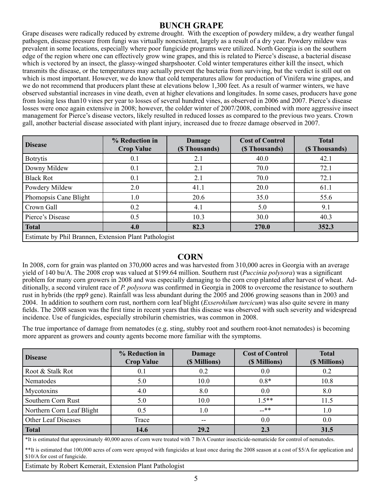#### **BUNCH GRAPE**

Grape diseases were radically reduced by extreme drought. With the exception of powdery mildew, a dry weather fungal pathogen, disease pressure from fungi was virtually nonexistent, largely as a result of a dry year. Powdery mildew was prevalent in some locations, especially where poor fungicide programs were utilized. North Georgia is on the southern edge of the region where one can effectively grow wine grapes, and this is related to Pierce's disease, a bacterial disease which is vectored by an insect, the glassy-winged sharpshooter. Cold winter temperatures either kill the insect, which transmits the disease, or the temperatures may actually prevent the bacteria from surviving, but the verdict is still out on which is most important. However, we do know that cold temperatures allow for production of Vinifera wine grapes, and we do not recommend that producers plant these at elevations below 1,300 feet. As a result of warmer winters, we have observed substantial increases in vine death, even at higher elevations and longitudes. In some cases, producers have gone from losing less than10 vines per year to losses of several hundred vines, as observed in 2006 and 2007. Pierce's disease losses were once again extensive in 2008; however, the colder winter of 2007/2008, combined with more aggressive insect management for Pierce's disease vectors, likely resulted in reduced losses as compared to the previous two years. Crown gall, another bacterial disease associated with plant injury, increased due to freeze damage observed in 2007.

| <b>Disease</b>        | % Reduction in<br><b>Crop Value</b>                   | <b>Damage</b><br>(\$ Thousands) | <b>Cost of Control</b><br>(\$ Thousands) | <b>Total</b><br>(\$Thousands) |  |  |  |
|-----------------------|-------------------------------------------------------|---------------------------------|------------------------------------------|-------------------------------|--|--|--|
| <b>Botrytis</b>       | 0.1                                                   | 2.1                             | 40.0                                     | 42.1                          |  |  |  |
| Downy Mildew          | 0.1                                                   | 2.1                             | 70.0                                     | 72.1                          |  |  |  |
| <b>Black Rot</b>      | 0.1                                                   | 2.1                             | 70.0                                     | 72.1                          |  |  |  |
| Powdery Mildew        | 2.0                                                   | 41.1                            | 20.0                                     | 61.1                          |  |  |  |
| Phomopsis Cane Blight | 1.0                                                   | 20.6                            | 35.0                                     | 55.6                          |  |  |  |
| Crown Gall            | 0.2                                                   | 4.1                             | 5.0                                      | 9.1                           |  |  |  |
| Pierce's Disease      | 0.5                                                   | 10.3                            | 30.0                                     | 40.3                          |  |  |  |
| <b>Total</b>          | 4.0                                                   | 82.3                            | 270.0                                    | 352.3                         |  |  |  |
|                       | Estimate by Phil Brannen, Extension Plant Pathologist |                                 |                                          |                               |  |  |  |

#### **CORN**

In 2008, corn for grain was planted on 370,000 acres and was harvested from 310,000 acres in Georgia with an average yield of 140 bu/A. The 2008 crop was valued at \$199.64 million. Southern rust (*Puccinia polysora*) was a significant problem for many corn growers in 2008 and was especially damaging to the corn crop planted after harvest of wheat. Additionally, a second virulent race of *P. polysora* was confirmed in Georgia in 2008 to overcome the resistance to southern rust in hybrids (the rpp9 gene). Rainfall was less abundant during the 2005 and 2006 growing seasons than in 2003 and 2004. In addition to southern corn rust, northern corn leaf blight (*Exserohilum turcicum*) was also quite severe in many fields. The 2008 season was the first time in recent years that this disease was observed with such severity and widespread incidence. Use of fungicides, especially strobilurin chemistries, was common in 2008.

The true importance of damage from nematodes (e.g. sting, stubby root and southern root-knot nematodes) is becoming more apparent as growers and county agents become more familiar with the symptoms.

| <b>Disease</b>            | % Reduction in<br><b>Crop Value</b> | Damage<br>(\$ Millions) | <b>Cost of Control</b><br>(\$ Millions) | <b>Total</b><br>(\$ Millions) |
|---------------------------|-------------------------------------|-------------------------|-----------------------------------------|-------------------------------|
| Root & Stalk Rot          | 0.1                                 | 0.2                     | 0.0                                     | 0.2                           |
| Nematodes                 | 5.0                                 | 10.0                    | $0.8*$                                  | 10.8                          |
| Mycotoxins                | 4.0                                 | 8.0                     | 0.0                                     | 8.0                           |
| Southern Corn Rust        | 5.0                                 | 10.0                    | $1.5**$                                 | 11.5                          |
| Northern Corn Leaf Blight | 0.5                                 | 1.0                     | $-***$                                  | 1.0                           |
| Other Leaf Diseases       | Trace                               | $- -$                   | 0.0                                     | 0.0                           |
| Total                     | 14.6                                | 29.2                    | 2.3                                     | 31.5                          |

\*It is estimated that approximately 40,000 acres of corn were treated with 7 lb/A Counter insecticide-nematicide for control of nematodes.

\*\*It is estimated that 100,000 acres of corn were sprayed with fungicides at least once during the 2008 season at a cost of \$5/A for application and \$10/A for cost of fungicide.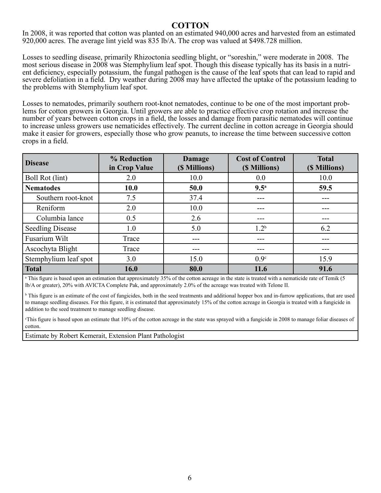#### **COTTON**

In 2008, it was reported that cotton was planted on an estimated 940,000 acres and harvested from an estimated 920,000 acres. The average lint yield was 835 lb/A. The crop was valued at \$498.728 million.

Losses to seedling disease, primarily Rhizoctonia seedling blight, or "soreshin," were moderate in 2008. The most serious disease in 2008 was Stemphylium leaf spot. Though this disease typically has its basis in a nutrient deficiency, especially potassium, the fungal pathogen is the cause of the leaf spots that can lead to rapid and severe defoliation in a field. Dry weather during 2008 may have affected the uptake of the potassium leading to the problems with Stemphylium leaf spot.

Losses to nematodes, primarily southern root-knot nematodes, continue to be one of the most important problems for cotton growers in Georgia. Until growers are able to practice effective crop rotation and increase the number of years between cotton crops in a field, the losses and damage from parasitic nematodes will continue to increase unless growers use nematicides effectively. The current decline in cotton acreage in Georgia should make it easier for growers, especially those who grow peanuts, to increase the time between successive cotton crops in a field.

| <b>Disease</b>          | % Reduction<br>in Crop Value | Damage<br>(\$ Millions) | <b>Cost of Control</b><br>(\$ Millions) | <b>Total</b><br>(\$ Millions) |
|-------------------------|------------------------------|-------------------------|-----------------------------------------|-------------------------------|
| Boll Rot (lint)         | 2.0                          | 10.0                    | 0.0                                     | 10.0                          |
| <b>Nematodes</b>        | 10.0                         | 50.0                    | 9.5 <sup>a</sup>                        | 59.5                          |
| Southern root-knot      | 7.5                          | 37.4                    |                                         |                               |
| Reniform                | 2.0                          | 10.0                    |                                         | ---                           |
| Columbia lance          | 0.5                          | 2.6                     |                                         |                               |
| <b>Seedling Disease</b> | 1.0                          | 5.0                     | $1.2^{b}$                               | 6.2                           |
| Fusarium Wilt           | Trace                        | ---                     |                                         | ---                           |
| Ascochyta Blight        | Trace                        |                         | ---                                     |                               |
| Stemphylium leaf spot   | 3.0                          | 15.0                    | 0.9 <sup>c</sup>                        | 15.9                          |
| <b>Total</b>            | 16.0                         | 80.0                    | 11.6                                    | 91.6                          |

a This figure is based upon an estimation that approximately 35% of the cotton acreage in the state is treated with a nematicide rate of Temik (5 lb/A or greater), 20% with AVICTA Complete Pak, and approximately 2.0% of the acreage was treated with Telone II.

<sup>b</sup> This figure is an estimate of the cost of fungicides, both in the seed treatments and additional hopper box and in-furrow applications, that are used to manage seedling diseases. For this figure, it is estimated that approximately 15% of the cotton acreage in Georgia is treated with a fungicide in addition to the seed treatment to manage seedling disease.

c This figure is based upon an estimate that 10% of the cotton acreage in the state was sprayed with a fungicide in 2008 to manage foliar diseases of cotton.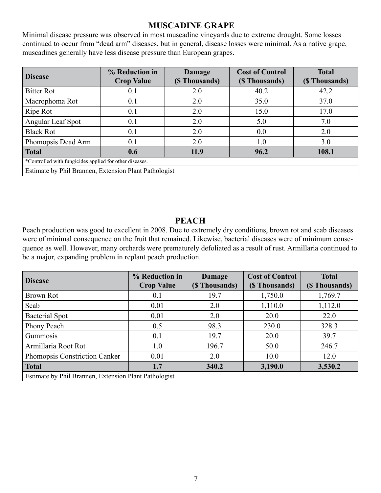## **MUSCADINE GRAPE**

Minimal disease pressure was observed in most muscadine vineyards due to extreme drought. Some losses continued to occur from "dead arm" diseases, but in general, disease losses were minimal. As a native grape, muscadines generally have less disease pressure than European grapes.

| <b>Disease</b>                                          | % Reduction in<br><b>Crop Value</b> | Damage<br>(\$Thousands) | <b>Cost of Control</b><br>(\$Thousands) | <b>Total</b><br>(\$Thousands) |  |
|---------------------------------------------------------|-------------------------------------|-------------------------|-----------------------------------------|-------------------------------|--|
| <b>Bitter Rot</b>                                       | 0.1                                 | 2.0                     | 40.2                                    | 42.2                          |  |
| Macrophoma Rot                                          | 0.1                                 | 2.0                     | 35.0                                    | 37.0                          |  |
| Ripe Rot                                                | 0.1                                 | 2.0                     | 15.0                                    | 17.0                          |  |
| Angular Leaf Spot                                       | 0.1                                 | 2.0                     | 5.0                                     | 7.0                           |  |
| <b>Black Rot</b>                                        | 0.1                                 | 2.0                     | 0.0                                     | 2.0                           |  |
| Phomopsis Dead Arm                                      | 0.1                                 | 2.0                     | 1.0                                     | 3.0                           |  |
| <b>Total</b>                                            | 0.6                                 | 11.9                    | 96.2                                    | 108.1                         |  |
| *Controlled with fungicides applied for other diseases. |                                     |                         |                                         |                               |  |
| Estimate by Phil Brannen, Extension Plant Pathologist   |                                     |                         |                                         |                               |  |

## **PEACH**

Peach production was good to excellent in 2008. Due to extremely dry conditions, brown rot and scab diseases were of minimal consequence on the fruit that remained. Likewise, bacterial diseases were of minimum consequence as well. However, many orchards were prematurely defoliated as a result of rust. Armillaria continued to be a major, expanding problem in replant peach production.

| <b>Disease</b>                                        | % Reduction in    | <b>Damage</b>  | <b>Cost of Control</b> | <b>Total</b>   |
|-------------------------------------------------------|-------------------|----------------|------------------------|----------------|
|                                                       | <b>Crop Value</b> | (\$ Thousands) | (\$Thousands)          | (\$ Thousands) |
| <b>Brown Rot</b>                                      | 0.1               | 19.7           | 1,750.0                | 1,769.7        |
| Scab                                                  | 0.01              | 2.0            | 1,110.0                | 1,112.0        |
| <b>Bacterial Spot</b>                                 | 0.01              | 2.0            | 20.0                   | 22.0           |
| Phony Peach                                           | 0.5               | 98.3           | 230.0                  | 328.3          |
| Gummosis                                              | 0.1               | 19.7           | 20.0                   | 39.7           |
| Armillaria Root Rot                                   | 1.0               | 196.7          | 50.0                   | 246.7          |
| Phomopsis Constriction Canker                         | 0.01              | 2.0            | 10.0                   | 12.0           |
| <b>Total</b>                                          | 1.7               | 340.2          | 3,190.0                | 3,530.2        |
| Estimate by Phil Brannen, Extension Plant Pathologist |                   |                |                        |                |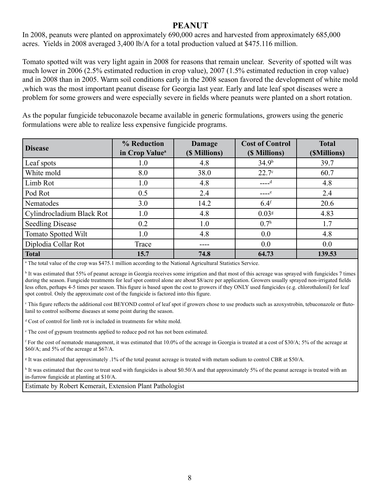### **PEANUT**

In 2008, peanuts were planted on approximately 690,000 acres and harvested from approximately 685,000 acres. Yields in 2008 averaged 3,400 lb/A for a total production valued at \$475.116 million.

Tomato spotted wilt was very light again in 2008 for reasons that remain unclear. Severity of spotted wilt was much lower in 2006 (2.5% estimated reduction in crop value), 2007 (1.5% estimated reduction in crop value) and in 2008 than in 2005. Warm soil conditions early in the 2008 season favored the development of white mold ,which was the most important peanut disease for Georgia last year. Early and late leaf spot diseases were a problem for some growers and were especially severe in fields where peanuts were planted on a short rotation.

As the popular fungicide tebuconazole became available in generic formulations, growers using the generic formulations were able to realize less expensive fungicide programs.

| <b>Disease</b>            | % Reduction<br>in Crop Value <sup>a</sup> | Damage<br>(\$ Millions) | <b>Cost of Control</b><br>(\$ Millions) | <b>Total</b><br>(SMillions) |
|---------------------------|-------------------------------------------|-------------------------|-----------------------------------------|-----------------------------|
| Leaf spots                | 1.0                                       | 4.8                     | 34.9 <sup>b</sup>                       | 39.7                        |
| White mold                | 8.0                                       | 38.0                    | $22.7^{\circ}$                          | 60.7                        |
| Limb Rot                  | 1.0                                       | 4.8                     | $---d$                                  | 4.8                         |
| Pod Rot                   | 0.5                                       | 2.4                     | $---e$                                  | 2.4                         |
| Nematodes                 | 3.0                                       | 14.2                    | $6.4$ <sup>f</sup>                      | 20.6                        |
| Cylindrocladium Black Rot | 1.0                                       | 4.8                     | 0.03 <sup>g</sup>                       | 4.83                        |
| <b>Seedling Disease</b>   | 0.2                                       | 1.0                     | 0.7 <sup>h</sup>                        | 1.7                         |
| Tomato Spotted Wilt       | 1.0                                       | 4.8                     | 0.0                                     | 4.8                         |
| Diplodia Collar Rot       | Trace                                     |                         | 0.0                                     | 0.0                         |
| <b>Total</b>              | 15.7                                      | 74.8                    | 64.73                                   | 139.53                      |

a The total value of the crop was \$475.1 million according to the National Agricultural Statistics Service.

<sup>b</sup> It was estimated that 55% of peanut acreage in Georgia receives some irrigation and that most of this acreage was sprayed with fungicides 7 times during the season. Fungicide treatments for leaf spot control alone are about \$8/acre per application. Growers usually sprayed non-irrigated fields less often, perhaps 4-5 times per season. This figure is based upon the cost to growers if they ONLY used fungicides (e.g. chlorothalonil) for leaf spot control. Only the approximate cost of the fungicide is factored into this figure.

c This figure reflects the additional cost BEYOND control of leaf spot if growers chose to use products such as azoxystrobin, tebuconazole or flutolanil to control soilborne diseases at some point during the season.

d Cost of control for limb rot is included in treatments for white mold.

e The cost of gypsum treatments applied to reduce pod rot has not been estimated.

f For the cost of nematode management, it was estimated that 10.0% of the acreage in Georgia is treated at a cost of \$30/A; 5% of the acreage at \$60/A; and 5% of the acreage at \$67/A.

<sup>g</sup> It was estimated that approximately .1% of the total peanut acreage is treated with metam sodium to control CBR at \$50/A.

<sup>h</sup> It was estimated that the cost to treat seed with fungicides is about \$0.50/A and that approximately 5% of the peanut acreage is treated with an in-furrow fungicide at planting at \$10/A.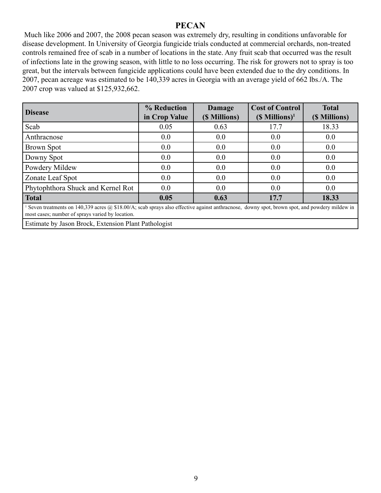#### **PECAN**

 Much like 2006 and 2007, the 2008 pecan season was extremely dry, resulting in conditions unfavorable for disease development. In University of Georgia fungicide trials conducted at commercial orchards, non-treated controls remained free of scab in a number of locations in the state. Any fruit scab that occurred was the result of infections late in the growing season, with little to no loss occurring. The risk for growers not to spray is too great, but the intervals between fungicide applications could have been extended due to the dry conditions. In 2007, pecan acreage was estimated to be 140,339 acres in Georgia with an average yield of 662 lbs./A. The 2007 crop was valued at \$125,932,662.

| <b>Disease</b>                    | % Reduction<br>in Crop Value | Damage<br>(\$ Millions) | <b>Cost of Control</b><br>$(S$ Millions) <sup>1</sup> | <b>Total</b><br>(\$ Millions) |
|-----------------------------------|------------------------------|-------------------------|-------------------------------------------------------|-------------------------------|
| Scab                              | 0.05                         | 0.63                    | 17.7                                                  | 18.33                         |
| Anthracnose                       | 0.0                          | 0.0                     | 0.0                                                   | 0.0                           |
| Brown Spot                        | 0.0                          | 0.0                     | 0.0                                                   | 0.0                           |
| Downy Spot                        | 0.0                          | 0.0                     | 0.0                                                   | 0.0                           |
| Powdery Mildew                    | 0.0                          | 0.0                     | 0.0                                                   | 0.0                           |
| Zonate Leaf Spot                  | 0.0                          | 0.0                     | 0.0                                                   | 0.0                           |
| Phytophthora Shuck and Kernel Rot | 0.0                          | 0.0                     | 0.0                                                   | 0.0                           |
| <b>Total</b>                      | 0.05                         | 0.63                    | 17.7                                                  | 18.33                         |

<sup>1</sup> Seven treatments on 140,339 acres @ \$18.00/A; scab sprays also effective against anthracnose, downy spot, brown spot, and powdery mildew in most cases; number of sprays varied by location.

Estimate by Jason Brock, Extension Plant Pathologist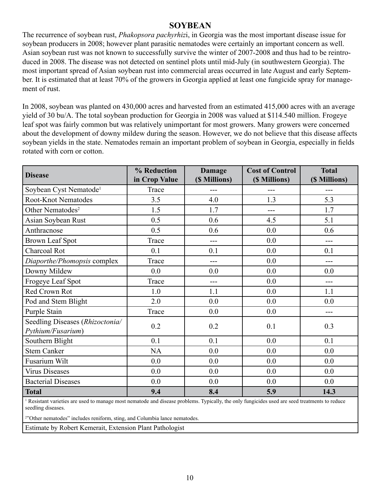## **SOYBEAN**

The recurrence of soybean rust, *Phakopsora pachyrhiz*i, in Georgia was the most important disease issue for soybean producers in 2008; however plant parasitic nematodes were certainly an important concern as well. Asian soybean rust was not known to successfully survive the winter of 2007-2008 and thus had to be reintroduced in 2008. The disease was not detected on sentinel plots until mid-July (in southwestern Georgia). The most important spread of Asian soybean rust into commercial areas occurred in late August and early September. It is estimated that at least 70% of the growers in Georgia applied at least one fungicide spray for management of rust.

In 2008, soybean was planted on 430,000 acres and harvested from an estimated 415,000 acres with an average yield of 30 bu/A. The total soybean production for Georgia in 2008 was valued at \$114.540 million. Frogeye leaf spot was fairly common but was relatively unimportant for most growers. Many growers were concerned about the development of downy mildew during the season. However, we do not believe that this disease affects soybean yields in the state. Nematodes remain an important problem of soybean in Georgia, especially in fields rotated with corn or cotton.

| <b>Disease</b>                                       | % Reduction<br>in Crop Value | <b>Damage</b><br>(\$ Millions) | <b>Cost of Control</b><br>(\$ Millions) | <b>Total</b><br>(\$ Millions) |
|------------------------------------------------------|------------------------------|--------------------------------|-----------------------------------------|-------------------------------|
| Soybean Cyst Nematode <sup>1</sup>                   | Trace                        | ---                            | ---                                     | ---                           |
| <b>Root-Knot Nematodes</b>                           | 3.5                          | 4.0                            | 1.3                                     | 5.3                           |
| Other Nematodes <sup>2</sup>                         | 1.5                          | 1.7                            | ---                                     | 1.7                           |
| Asian Soybean Rust                                   | 0.5                          | 0.6                            | 4.5                                     | 5.1                           |
| Anthracnose                                          | 0.5                          | 0.6                            | 0.0                                     | 0.6                           |
| <b>Brown Leaf Spot</b>                               | Trace                        | $---$                          | 0.0                                     | $---$                         |
| <b>Charcoal Rot</b>                                  | 0.1                          | 0.1                            | 0.0                                     | 0.1                           |
| Diaporthe/Phomopsis complex                          | Trace                        | ---                            | 0.0                                     | ---                           |
| Downy Mildew                                         | 0.0                          | 0.0                            | 0.0                                     | 0.0                           |
| Frogeye Leaf Spot                                    | Trace                        | ---                            | 0.0                                     | ---                           |
| Red Crown Rot                                        | 1.0                          | 1.1                            | 0.0                                     | 1.1                           |
| Pod and Stem Blight                                  | 2.0                          | 0.0                            | 0.0                                     | 0.0                           |
| Purple Stain                                         | Trace                        | 0.0                            | 0.0                                     | ---                           |
| Seedling Diseases (Rhizoctonia/<br>Pythium/Fusarium) | 0.2                          | 0.2                            | 0.1                                     | 0.3                           |
| Southern Blight                                      | 0.1                          | 0.1                            | 0.0                                     | 0.1                           |
| <b>Stem Canker</b>                                   | <b>NA</b>                    | 0.0                            | 0.0                                     | 0.0                           |
| Fusarium Wilt                                        | 0.0                          | 0.0                            | 0.0                                     | 0.0                           |
| <b>Virus Diseases</b>                                | 0.0                          | 0.0                            | 0.0                                     | 0.0                           |
| <b>Bacterial Diseases</b>                            | 0.0                          | 0.0                            | 0.0                                     | 0.0                           |
| <b>Total</b>                                         | 9.4                          | 8.4                            | 5.9                                     | 14.3                          |

<sup>1</sup> Resistant varieties are used to manage most nematode and disease problems. Typically, the only fungicides used are seed treatments to reduce seedling diseases.

2 "Other nematodes" includes reniform, sting, and Columbia lance nematodes.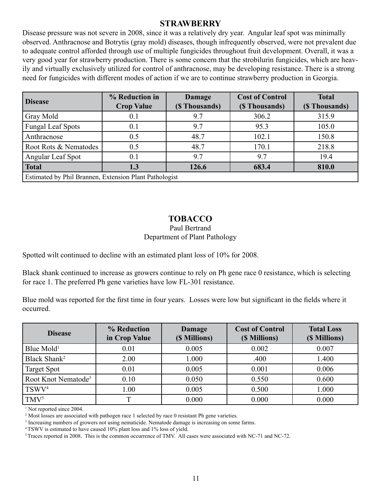## **STRAWBERRY**

Disease pressure was not severe in 2008, since it was a relatively dry year. Angular leaf spot was minimally observed. Anthracnose and Botrytis (gray mold) diseases, though infrequently observed, were not prevalent due to adequate control afforded through use of multiple fungicides throughout fruit development. Overall, it was a very good year for strawberry production. There is some concern that the strobilurin fungicides, which are heavily and virtually exclusively utilized for control of anthracnose, may be developing resistance. There is a strong need for fungicides with different modes of action if we are to continue strawberry production in Georgia.

| <b>Disease</b>                                         | % Reduction in<br><b>Crop Value</b> | Damage<br>(\$ Thousands) | <b>Cost of Control</b><br>(\$ Thousands) | <b>Total</b><br>(\$Thousands) |  |  |
|--------------------------------------------------------|-------------------------------------|--------------------------|------------------------------------------|-------------------------------|--|--|
| Gray Mold                                              | 0.1                                 | 9.7                      | 306.2                                    | 315.9                         |  |  |
| <b>Fungal Leaf Spots</b>                               | 0.1                                 | 9.7                      | 95.3                                     | 105.0                         |  |  |
| Anthracnose                                            | 0.5                                 | 48.7                     | 102.1                                    | 150.8                         |  |  |
| Root Rots & Nematodes                                  | 0.5                                 | 48.7                     | 170.1                                    | 218.8                         |  |  |
| Angular Leaf Spot                                      | 0.1                                 | 9.7                      | 9.7                                      | 19.4                          |  |  |
| <b>Total</b>                                           | 1.3                                 | 126.6                    | 683.4                                    | 810.0                         |  |  |
| Estimated by Phil Brannen, Extension Plant Pathologist |                                     |                          |                                          |                               |  |  |

## **TOBACCO**

#### Paul Bertrand

## Department of Plant Pathology

Spotted wilt continued to decline with an estimated plant loss of 10% for 2008.

Black shank continued to increase as growers continue to rely on Ph gene race 0 resistance, which is selecting for race 1. The preferred Ph gene varieties have low FL-301 resistance.

Blue mold was reported for the first time in four years. Losses were low but significant in the fields where it occurred.

| <b>Disease</b>                  | % Reduction<br>in Crop Value | <b>Cost of Control</b><br>Damage<br>(\$ Millions)<br>(\$ Millions) |       | <b>Total Loss</b><br>(\$ Millions) |
|---------------------------------|------------------------------|--------------------------------------------------------------------|-------|------------------------------------|
| Blue Mold <sup>1</sup>          | 0.01                         | 0.005                                                              | 0.002 | 0.007                              |
| Black Shank <sup>2</sup>        | 2.00                         | 1.000                                                              | .400  | 1.400                              |
| <b>Target Spot</b>              | 0.01                         | 0.005                                                              | 0.001 | 0.006                              |
| Root Knot Nematode <sup>3</sup> | 0.10                         | 0.050                                                              | 0.550 | 0.600                              |
| TSWV <sup>4</sup>               | 1.00                         | 0.005                                                              | 0.500 | 1.000                              |
| TMV <sup>5</sup>                |                              | 0.000                                                              | 0.000 | 0.000                              |

<sup>1</sup> Not reported since 2004.

<sup>2</sup> Most losses are associated with pathogen race 1 selected by race 0 resistant Ph gene varieties.

<sup>3</sup> Increasing numbers of growers not using nematicide. Nematode damage is increasing on some farms.

4 TSWV is estimated to have caused 10% plant loss and 1% loss of yield.

5 Traces reported in 2008. This is the common occurrence of TMV. All cases were associated with NC-71 and NC-72.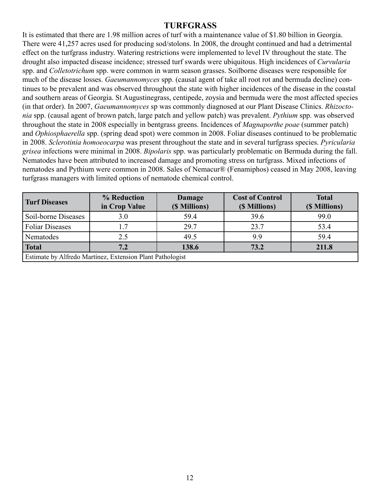## **TURFGRASS**

It is estimated that there are 1.98 million acres of turf with a maintenance value of \$1.80 billion in Georgia. There were 41,257 acres used for producing sod/stolons. In 2008, the drought continued and had a detrimental effect on the turfgrass industry. Watering restrictions were implemented to level IV throughout the state. The drought also impacted disease incidence; stressed turf swards were ubiquitous. High incidences of *Curvularia* spp. and *Colletotrichum* spp. were common in warm season grasses. Soilborne diseases were responsible for much of the disease losses. *Gaeumannomyces* spp. (causal agent of take all root rot and bermuda decline) continues to be prevalent and was observed throughout the state with higher incidences of the disease in the coastal and southern areas of Georgia. St Augustinegrass, centipede, zoysia and bermuda were the most affected species (in that order). In 2007, *Gaeumannomyces* sp was commonly diagnosed at our Plant Disease Clinics. *Rhizoctonia* spp. (causal agent of brown patch, large patch and yellow patch) was prevalent. *Pythium* spp. was observed throughout the state in 2008 especially in bentgrass greens. Incidences of *Magnaporthe poae* (summer patch) and *Ophiosphaerella* spp. (spring dead spot) were common in 2008. Foliar diseases continued to be problematic in 2008. *Sclerotinia homoeocarpa* was present throughout the state and in several turfgrass species. *Pyricularia grisea* infections were minimal in 2008. *Bipolaris* spp. was particularly problematic on Bermuda during the fall. Nematodes have been attributed to increased damage and promoting stress on turfgrass. Mixed infections of nematodes and Pythium were common in 2008. Sales of Nemacur® (Fenamiphos) ceased in May 2008, leaving turfgrass managers with limited options of nematode chemical control.

| <b>Turf Diseases</b>                                      | % Reduction<br>in Crop Value | <b>Damage</b><br>(\$ Millions) | <b>Cost of Control</b><br>(\$ Millions) | <b>Total</b><br>(\$ Millions) |  |
|-----------------------------------------------------------|------------------------------|--------------------------------|-----------------------------------------|-------------------------------|--|
| Soil-borne Diseases                                       | 3.0                          | 59.4                           | 39.6                                    | 99.0                          |  |
| <b>Foliar Diseases</b>                                    | 1.7                          | 29.7                           | 23.7                                    | 53.4                          |  |
| Nematodes                                                 | 2.5                          | 49.5                           | 9.9                                     | 59.4                          |  |
| <b>Total</b>                                              | 7.2                          | 138.6                          | 73.2                                    | 211.8                         |  |
| Estimate by Alfredo Martínez, Extension Plant Pathologist |                              |                                |                                         |                               |  |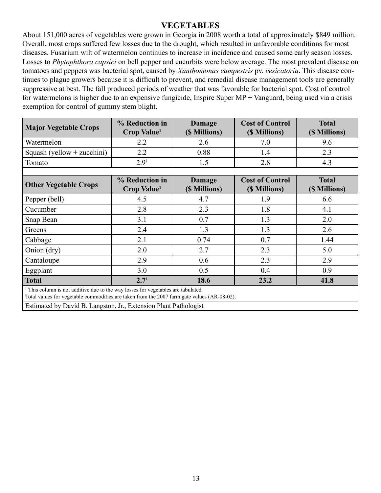## **VEGETABLES**

About 151,000 acres of vegetables were grown in Georgia in 2008 worth a total of approximately \$849 million. Overall, most crops suffered few losses due to the drought, which resulted in unfavorable conditions for most diseases. Fusarium wilt of watermelon continues to increase in incidence and caused some early season losses. Losses to *Phytophthora capsici* on bell pepper and cucurbits were below average. The most prevalent disease on tomatoes and peppers was bacterial spot, caused by *Xanthomonas campestris* pv. *vesicatoria*. This disease continues to plague growers because it is difficult to prevent, and remedial disease management tools are generally suppressive at best. The fall produced periods of weather that was favorable for bacterial spot. Cost of control for watermelons is higher due to an expensive fungicide, Inspire Super MP + Vanguard, being used via a crisis exemption for control of gummy stem blight.

| <b>Major Vegetable Crops</b>                                                                                                                                                                                                                                                                                                      | % Reduction in<br><b>Crop Value</b> <sup>1</sup> | Damage<br>(\$ Millions) | <b>Cost of Control</b><br>(\$ Millions) | <b>Total</b><br>(\$ Millions) |  |  |  |
|-----------------------------------------------------------------------------------------------------------------------------------------------------------------------------------------------------------------------------------------------------------------------------------------------------------------------------------|--------------------------------------------------|-------------------------|-----------------------------------------|-------------------------------|--|--|--|
| Watermelon                                                                                                                                                                                                                                                                                                                        | 2.2                                              | 2.6                     | 7.0                                     | 9.6                           |  |  |  |
| Squash (yellow + zucchini)                                                                                                                                                                                                                                                                                                        | 2.2                                              | 0.88                    | 1.4                                     | 2.3                           |  |  |  |
| Tomato                                                                                                                                                                                                                                                                                                                            | 2.9 <sup>1</sup>                                 | 1.5                     | 2.8                                     | 4.3                           |  |  |  |
|                                                                                                                                                                                                                                                                                                                                   |                                                  |                         |                                         |                               |  |  |  |
| <b>Other Vegetable Crops</b>                                                                                                                                                                                                                                                                                                      | % Reduction in<br><b>Crop Value</b> <sup>1</sup> | Damage<br>(\$ Millions) | <b>Cost of Control</b><br>(\$ Millions) | <b>Total</b><br>(\$ Millions) |  |  |  |
| Pepper (bell)                                                                                                                                                                                                                                                                                                                     | 4.5                                              | 4.7                     | 1.9                                     | 6.6                           |  |  |  |
| Cucumber                                                                                                                                                                                                                                                                                                                          | 2.8                                              | 2.3                     | 1.8                                     | 4.1                           |  |  |  |
| Snap Bean                                                                                                                                                                                                                                                                                                                         | 3.1                                              | 0.7                     | 1.3                                     | 2.0                           |  |  |  |
| Greens                                                                                                                                                                                                                                                                                                                            | 2.4                                              | 1.3                     | 1.3                                     | 2.6                           |  |  |  |
| Cabbage                                                                                                                                                                                                                                                                                                                           | 2.1                                              | 0.74                    | 0.7                                     | 1.44                          |  |  |  |
| Onion (dry)                                                                                                                                                                                                                                                                                                                       | 2.0                                              | 2.7                     | 2.3                                     | 5.0                           |  |  |  |
| Cantaloupe                                                                                                                                                                                                                                                                                                                        | 2.9                                              | 0.6                     | 2.3                                     | 2.9                           |  |  |  |
| Eggplant                                                                                                                                                                                                                                                                                                                          | 3.0                                              | 0.5                     | 0.4                                     | 0.9                           |  |  |  |
| <b>Total</b>                                                                                                                                                                                                                                                                                                                      | 2.7 <sup>1</sup>                                 | 18.6                    | 23.2                                    | 41.8                          |  |  |  |
| <sup>1</sup> This column is not additive due to the way losses for vegetables are tabulated.<br>Total values for vegetable commodities are taken from the 2007 farm gate values (AR-08-02).<br>$\mathbf{r}$ . The $\mathbf{r}$ is the $\mathbf{r}$ in $\mathbf{r}$ is the $\mathbf{r}$ in $\mathbf{r}$ is the set of $\mathbf{r}$ |                                                  |                         |                                         |                               |  |  |  |

Estimated by David B. Langston, Jr., Extension Plant Pathologist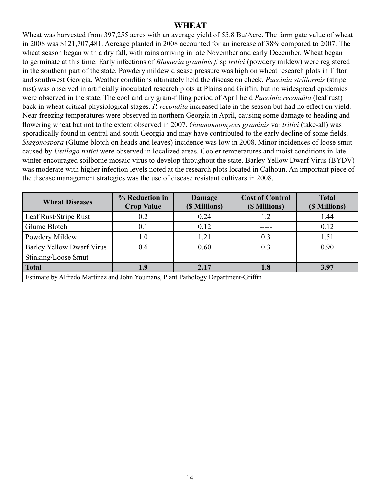#### **WHEAT**

Wheat was harvested from 397,255 acres with an average yield of 55.8 Bu/Acre. The farm gate value of wheat in 2008 was \$121,707,481. Acreage planted in 2008 accounted for an increase of 38% compared to 2007. The wheat season began with a dry fall, with rains arriving in late November and early December. Wheat began to germinate at this time. Early infections of *Blumeria graminis f.* sp *tritici* (powdery mildew) were registered in the southern part of the state. Powdery mildew disease pressure was high on wheat research plots in Tifton and southwest Georgia. Weather conditions ultimately held the disease on check. *Puccinia striiformis* (stripe rust) was observed in artificially inoculated research plots at Plains and Griffin, but no widespread epidemics were observed in the state. The cool and dry grain-filling period of April held *Puccinia recondita* (leaf rust) back in wheat critical physiological stages. *P. recondita* increased late in the season but had no effect on yield. Near-freezing temperatures were observed in northern Georgia in April, causing some damage to heading and flowering wheat but not to the extent observed in 2007. *Gaumannomyces graminis* var *tritici* (take-all) was sporadically found in central and south Georgia and may have contributed to the early decline of some fields. *Stagonospora* (Glume blotch on heads and leaves) incidence was low in 2008. Minor incidences of loose smut caused by *Ustilago tritici* were observed in localized areas. Cooler temperatures and moist conditions in late winter encouraged soilborne mosaic virus to develop throughout the state. Barley Yellow Dwarf Virus (BYDV) was moderate with higher infection levels noted at the research plots located in Calhoun. An important piece of the disease management strategies was the use of disease resistant cultivars in 2008.

| % Reduction in<br><b>Crop Value</b> | Damage<br>(\$ Millions) | <b>Cost of Control</b><br>(\$ Millions) | <b>Total</b><br>(\$ Millions)                                                                                                                                                                                                                                                                                                      |
|-------------------------------------|-------------------------|-----------------------------------------|------------------------------------------------------------------------------------------------------------------------------------------------------------------------------------------------------------------------------------------------------------------------------------------------------------------------------------|
| 0.2                                 | 0.24                    | 1.2                                     | 1.44                                                                                                                                                                                                                                                                                                                               |
| 0.1                                 | 0.12                    |                                         | 0.12                                                                                                                                                                                                                                                                                                                               |
| 1.0                                 | 1.21                    | 0.3                                     | 1.51                                                                                                                                                                                                                                                                                                                               |
| 0.6                                 | 0.60                    | 0.3                                     | 0.90                                                                                                                                                                                                                                                                                                                               |
|                                     |                         |                                         |                                                                                                                                                                                                                                                                                                                                    |
| 1.9                                 | 2.17                    | 1.8                                     | 3.97                                                                                                                                                                                                                                                                                                                               |
|                                     | $1$ T $1$ T $7$         |                                         | $\mathbf{D}$ $\mathbf{D}$ $\mathbf{A}$ $\mathbf{I}$ $\mathbf{D}$ $\mathbf{D}$ $\mathbf{D}$ $\mathbf{A}$ $\mathbf{D}$ $\mathbf{D}$ $\mathbf{D}$ $\mathbf{D}$ $\mathbf{D}$ $\mathbf{D}$ $\mathbf{D}$ $\mathbf{D}$ $\mathbf{D}$ $\mathbf{D}$ $\mathbf{D}$ $\mathbf{D}$ $\mathbf{D}$ $\mathbf{D}$ $\mathbf{D}$ $\mathbf{D}$ $\mathbf{$ |

Estimate by Alfredo Martinez and John Youmans, Plant Pathology Department-Griffin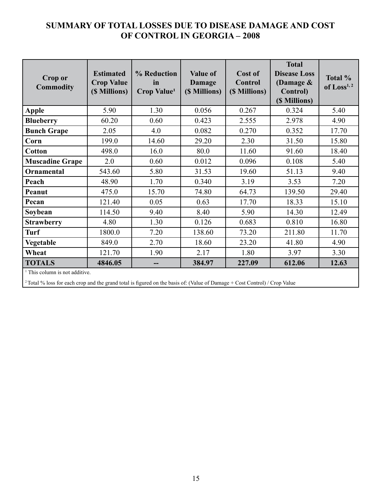# **SUMMARY OF TOTAL LOSSES DUE TO DISEASE DAMAGE AND COST OF CONTROL IN GEORGIA – 2008**

| Crop or<br><b>Commodity</b>               | <b>Estimated</b><br><b>Crop Value</b><br>(\$ Millions) | % Reduction<br>in<br>Crop Value <sup>1</sup> | <b>Value of</b><br><b>Damage</b><br>(\$ Millions) | Cost of<br><b>Control</b><br>(\$ Millions) | <b>Total</b><br><b>Disease Loss</b><br>(Damage $\&$<br>Control)<br>(\$ Millions) | Total %<br>of $Loss1,2$ |
|-------------------------------------------|--------------------------------------------------------|----------------------------------------------|---------------------------------------------------|--------------------------------------------|----------------------------------------------------------------------------------|-------------------------|
| <b>Apple</b>                              | 5.90                                                   | 1.30                                         | 0.056                                             | 0.267                                      | 0.324                                                                            | 5.40                    |
| <b>Blueberry</b>                          | 60.20                                                  | 0.60                                         | 0.423                                             | 2.555                                      | 2.978                                                                            | 4.90                    |
| <b>Bunch Grape</b>                        | 2.05                                                   | 4.0                                          | 0.082                                             | 0.270                                      | 0.352                                                                            | 17.70                   |
| Corn                                      | 199.0                                                  | 14.60                                        | 29.20                                             | 2.30                                       | 31.50                                                                            | 15.80                   |
| <b>Cotton</b>                             | 498.0                                                  | 16.0                                         | 80.0                                              | 11.60                                      | 91.60                                                                            | 18.40                   |
| <b>Muscadine Grape</b>                    | 2.0                                                    | 0.60                                         | 0.012                                             | 0.096                                      | 0.108                                                                            | 5.40                    |
| <b>Ornamental</b>                         | 543.60                                                 | 5.80                                         | 31.53                                             | 19.60                                      | 51.13                                                                            | 9.40                    |
| Peach                                     | 48.90                                                  | 1.70                                         | 0.340                                             | 3.19                                       | 3.53                                                                             | 7.20                    |
| Peanut                                    | 475.0                                                  | 15.70                                        | 74.80                                             | 64.73                                      | 139.50                                                                           | 29.40                   |
| Pecan                                     | 121.40                                                 | 0.05                                         | 0.63                                              | 17.70                                      | 18.33                                                                            | 15.10                   |
| Soybean                                   | 114.50                                                 | 9.40                                         | 8.40                                              | 5.90                                       | 14.30                                                                            | 12.49                   |
| <b>Strawberry</b>                         | 4.80                                                   | 1.30                                         | 0.126                                             | 0.683                                      | 0.810                                                                            | 16.80                   |
| <b>Turf</b>                               | 1800.0                                                 | 7.20                                         | 138.60                                            | 73.20                                      | 211.80                                                                           | 11.70                   |
| Vegetable                                 | 849.0                                                  | 2.70                                         | 18.60                                             | 23.20                                      | 41.80                                                                            | 4.90                    |
| Wheat                                     | 121.70                                                 | 1.90                                         | 2.17                                              | 1.80                                       | 3.97                                                                             | 3.30                    |
| <b>TOTALS</b>                             | 4846.05                                                | --                                           | 384.97                                            | 227.09                                     | 612.06                                                                           | 12.63                   |
| <sup>1</sup> This column is not additive. |                                                        |                                              |                                                   |                                            |                                                                                  |                         |

<sup>2</sup> Total % loss for each crop and the grand total is figured on the basis of: (Value of Damage + Cost Control) / Crop Value